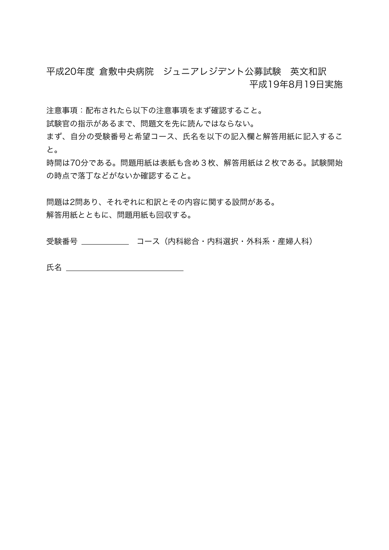平成20年度 倉敷中央病院 ジュニアレジデント公募試験 英文和訳 平成19年8月19日実施

注意事項:配布されたら以下の注意事項をまず確認すること。

試験官の指示があるまで、問題文を先に読んではならない。

まず、自分の受験番号と希望コース、氏名を以下の記入欄と解答用紙に記入するこ と。

時間は70分である。問題用紙は表紙も含め3枚、解答用紙は2枚である。試験開始 の時点で落丁などがないか確認すること。

問題は2問あり、それぞれに和訳とその内容に関する設問がある。 解答用紙とともに、問題用紙も回収する。

受験番号 \_\_\_\_\_\_\_\_\_\_\_\_ コース(内科総合・内科選択・外科系・産婦人科)

にはちょう しんしょう しんしょう しんしょう しんしゅう しんしゅう しんしゅう しゅうしょく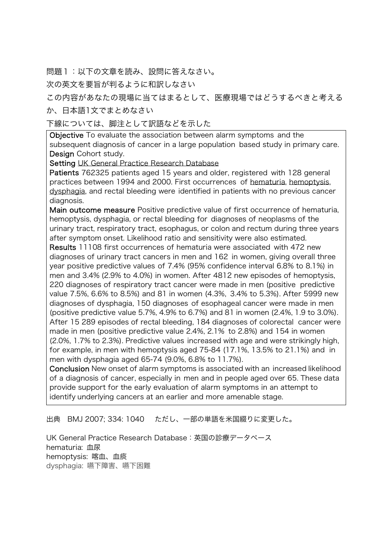問題1:以下の文章を読み、設問に答えなさい。

次の英文を要旨が判るように和訳しなさい

この内容があなたの現場に当てはまるとして、医療現場ではどうするべきと考える

か、日本語1文でまとめなさい

下線については、脚注として訳語などを示した

Objective To evaluate the association between alarm symptoms and the subsequent diagnosis of cancer in a large population based study in primary care. Design Cohort study.

Setting UK General Practice Research Database

Patients 762325 patients aged 15 years and older, registered with 128 general practices between 1994 and 2000. First occurrences of hematuria, hemoptysis, dysphagia, and rectal bleeding were identified in patients with no previous cancer diagnosis.

Main outcome measure Positive predictive value of first occurrence of hematuria, hemoptysis, dysphagia, or rectal bleeding for diagnoses of neoplasms of the urinary tract, respiratory tract, esophagus, or colon and rectum during three years after symptom onset. Likelihood ratio and sensitivity were also estimated.

Results 11108 first occurrences of hematuria were associated with 472 new diagnoses of urinary tract cancers in men and 162 in women, giving overall three year positive predictive values of 7.4% (95% confidence interval 6.8% to 8.1%) in men and 3.4% (2.9% to 4.0%) in women. After 4812 new episodes of hemoptysis, 220 diagnoses of respiratory tract cancer were made in men (positive predictive value 7.5%, 6.6% to 8.5%) and 81 in women (4.3%, 3.4% to 5.3%). After 5999 new diagnoses of dysphagia, 150 diagnoses of esophageal cancer were made in men (positive predictive value 5.7%, 4.9% to 6.7%) and 81 in women (2.4%, 1.9 to 3.0%). After 15 289 episodes of rectal bleeding, 184 diagnoses of colorectal cancer were made in men (positive predictive value 2.4%, 2.1% to 2.8%) and 154 in women (2.0%, 1.7% to 2.3%). Predictive values increased with age and were strikingly high, for example, in men with hemoptysis aged 75-84 (17.1%, 13.5% to 21.1%) and in men with dysphagia aged 65-74 (9.0%, 6.8% to 11.7%).

Conclusion New onset of alarm symptoms is associated with an increased likelihood of a diagnosis of cancer, especially in men and in people aged over 65. These data provide support for the early evaluation of alarm symptoms in an attempt to identify underlying cancers at an earlier and more amenable stage.

出典 BMJ 2007; 334: 1040 ただし、一部の単語を米国綴りに変更した。

UK General Practice Research Database:英国の診療データベース hematuria: 血尿 hemoptysis: 喀血、血痰 dysphagia: 嚥下障害、嚥下困難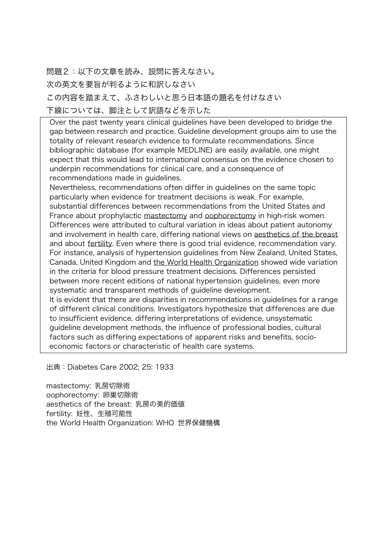問題2:以下の文章を読み、設問に答えなさい。 次の英文を要旨が判るように和訳しなさい この内容を踏まえて、ふさわしいと思う日本語の題名を付けなさい

下線については、脚注として訳語などを示した

Over the past twenty years clinical guidelines have been developed to bridge the gap between research and practice. Guideline development groups aim to use the totality of relevant research evidence to formulate recommendations. Since bibliographic database (for example MEDLINE) are easily available, one might expect that this would lead to international consensus on the evidence chosen to underpin recommendations for clinical care, and a consequence of recommendations made in guidelines.

Nevertheless, recommendations often differ in guidelines on the same topic particularly when evidence for treatment decisions is weak. For example, substantial differences between recommendations from the United States and France about prophylactic mastectomy and oophorectomy in high-risk women. Differences were attributed to cultural variation in ideas about patient autonomy and involvement in health care, differing national views on aesthetics of the breast and about fertility. Even where there is good trial evidence, recommendation vary. For instance, analysis of hypertension guidelines from New Zealand, United States, Canada, United Kingdom and the World Health Organization showed wide variation in the criteria for blood pressure treatment decisions. Differences persisted between more recent editions of national hypertension guidelines, even more systematic and transparent methods of guideline development.

It is evident that there are disparities in recommendations in guidelines for a range of different clinical conditions. Investigators hypothesize that differences are due to insufficient evidence, differing interpretations of evidence, unsystematic guideline development methods, the influence of professional bodies, cultural factors such as differing expectations of apparent risks and benefits, socioeconomic factors or characteristic of health care systems.

出典:Diabetes Care 2002; 25: 1933

mastectomy: 乳房切除術 oophorectomy: 卵巣切除術 aesthetics of the breast: 乳房の美的価値 fertility: 妊性、生殖可能性 the World Health Organization: WHO 世界保健機構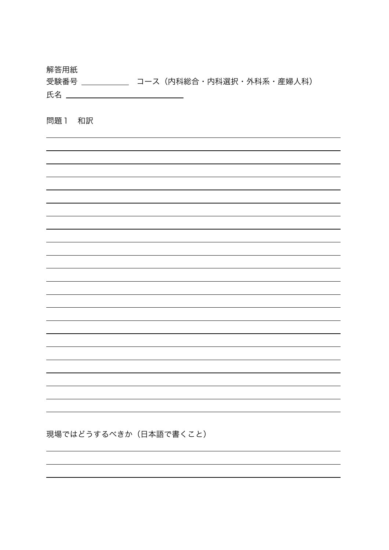## 解答用紙

受験番号 \_\_\_\_\_\_\_\_\_\_\_\_ コース (内科総合・内科選択・外科系・産婦人科) 氏名 \_\_\_\_\_\_\_\_\_\_\_\_\_\_\_\_\_\_\_\_\_\_\_\_\_\_

問題1 和訳

現場ではどうするべきか(日本語で書くこと)